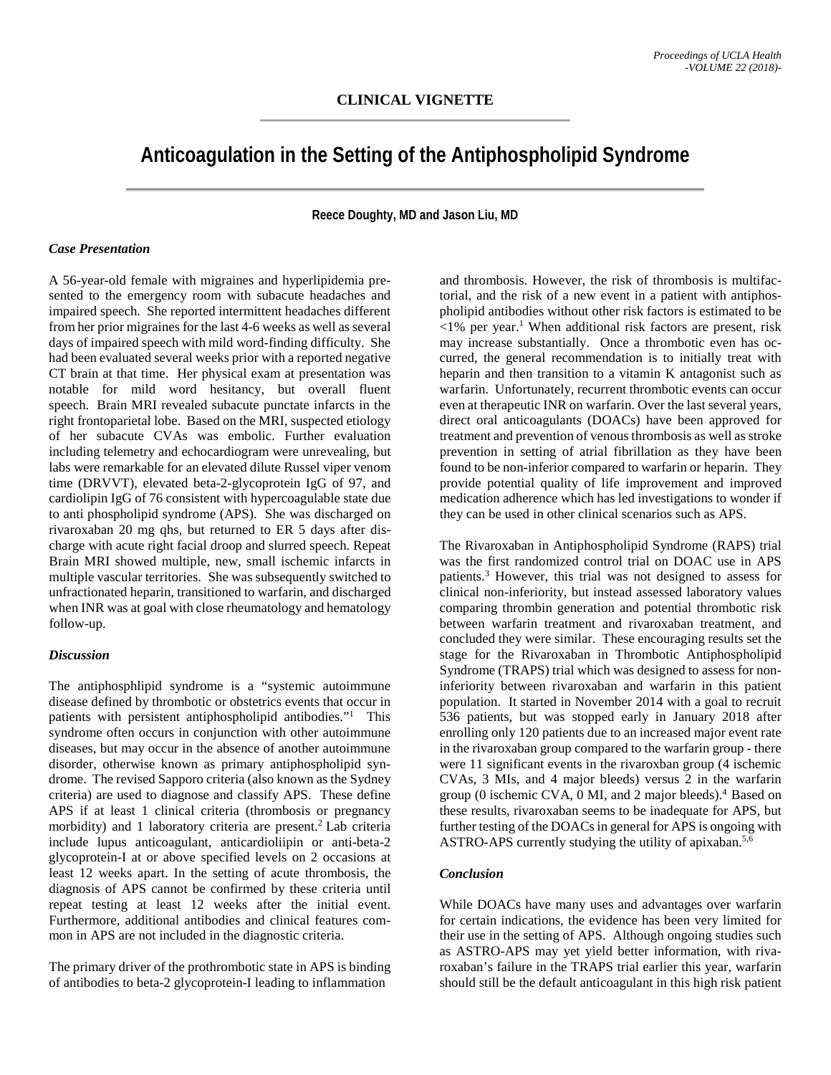# **Anticoagulation in the Setting of the Antiphospholipid Syndrome**

**Reece Doughty, MD and Jason Liu, MD**

### *Case Presentation*

A 56-year-old female with migraines and hyperlipidemia presented to the emergency room with subacute headaches and impaired speech. She reported intermittent headaches different from her prior migraines for the last 4-6 weeks as well as several days of impaired speech with mild word-finding difficulty. She had been evaluated several weeks prior with a reported negative CT brain at that time. Her physical exam at presentation was notable for mild word hesitancy, but overall fluent speech. Brain MRI revealed subacute punctate infarcts in the right frontoparietal lobe. Based on the MRI, suspected etiology of her subacute CVAs was embolic. Further evaluation including telemetry and echocardiogram were unrevealing, but labs were remarkable for an elevated dilute Russel viper venom time (DRVVT), elevated beta-2-glycoprotein IgG of 97, and cardiolipin IgG of 76 consistent with hypercoagulable state due to anti phospholipid syndrome (APS). She was discharged on rivaroxaban 20 mg qhs, but returned to ER 5 days after discharge with acute right facial droop and slurred speech. Repeat Brain MRI showed multiple, new, small ischemic infarcts in multiple vascular territories. She was subsequently switched to unfractionated heparin, transitioned to warfarin, and discharged when INR was at goal with close rheumatology and hematology follow-up.

#### *Discussion*

The antiphosphlipid syndrome is a "systemic autoimmune disease defined by thrombotic or obstetrics events that occur in patients with persistent antiphospholipid antibodies."<sup>1</sup> This syndrome often occurs in conjunction with other autoimmune diseases, but may occur in the absence of another autoimmune disorder, otherwise known as primary antiphospholipid syndrome. The revised Sapporo criteria (also known as the Sydney criteria) are used to diagnose and classify APS. These define APS if at least 1 clinical criteria (thrombosis or pregnancy morbidity) and 1 laboratory criteria are present.<sup>2</sup> Lab criteria include lupus anticoagulant, anticardioliipin or anti-beta-2 glycoprotein-I at or above specified levels on 2 occasions at least 12 weeks apart. In the setting of acute thrombosis, the diagnosis of APS cannot be confirmed by these criteria until repeat testing at least 12 weeks after the initial event. Furthermore, additional antibodies and clinical features common in APS are not included in the diagnostic criteria.

The primary driver of the prothrombotic state in APS is binding of antibodies to beta-2 glycoprotein-I leading to inflammation

and thrombosis. However, the risk of thrombosis is multifactorial, and the risk of a new event in a patient with antiphospholipid antibodies without other risk factors is estimated to be  $\langle 1\%$  per year.<sup>1</sup> When additional risk factors are present, risk may increase substantially. Once a thrombotic even has occurred, the general recommendation is to initially treat with heparin and then transition to a vitamin K antagonist such as warfarin. Unfortunately, recurrent thrombotic events can occur even at therapeutic INR on warfarin. Over the last several years, direct oral anticoagulants (DOACs) have been approved for treatment and prevention of venous thrombosis as well as stroke prevention in setting of atrial fibrillation as they have been found to be non-inferior compared to warfarin or heparin. They provide potential quality of life improvement and improved medication adherence which has led investigations to wonder if they can be used in other clinical scenarios such as APS.

The Rivaroxaban in Antiphospholipid Syndrome (RAPS) trial was the first randomized control trial on DOAC use in APS patients.3 However, this trial was not designed to assess for clinical non-inferiority, but instead assessed laboratory values comparing thrombin generation and potential thrombotic risk between warfarin treatment and rivaroxaban treatment, and concluded they were similar. These encouraging results set the stage for the Rivaroxaban in Thrombotic Antiphospholipid Syndrome (TRAPS) trial which was designed to assess for noninferiority between rivaroxaban and warfarin in this patient population. It started in November 2014 with a goal to recruit 536 patients, but was stopped early in January 2018 after enrolling only 120 patients due to an increased major event rate in the rivaroxaban group compared to the warfarin group - there were 11 significant events in the rivaroxban group (4 ischemic CVAs, 3 MIs, and 4 major bleeds) versus 2 in the warfarin group (0 ischemic CVA,  $0$  MI, and  $2$  major bleeds).<sup>4</sup> Based on these results, rivaroxaban seems to be inadequate for APS, but further testing of the DOACs in general for APS is ongoing with ASTRO-APS currently studying the utility of apixaban.<sup>5,6</sup>

## *Conclusion*

While DOACs have many uses and advantages over warfarin for certain indications, the evidence has been very limited for their use in the setting of APS. Although ongoing studies such as ASTRO-APS may yet yield better information, with rivaroxaban's failure in the TRAPS trial earlier this year, warfarin should still be the default anticoagulant in this high risk patient